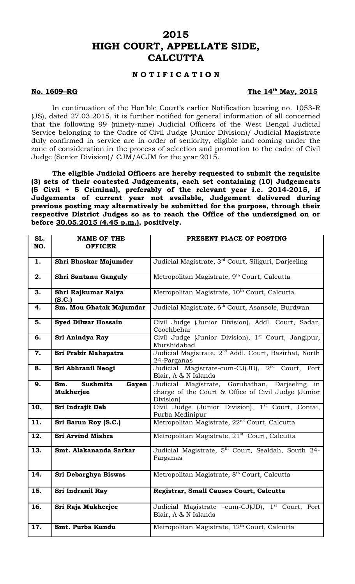# **2015 HIGH COURT, APPELLATE SIDE, CALCUTTA**

## **N O T I F I C A T I O N**

### **No. 1609-RG**

### The 14<sup>th</sup> May, 2015

In continuation of the Hon'ble Court's earlier Notification bearing no. 1053-R (JS), dated 27.03.2015, it is further notified for general information of all concerned that the following 99 (ninety-nine) Judicial Officers of the West Bengal Judicial Service belonging to the Cadre of Civil Judge (Junior Division)/ Judicial Magistrate duly confirmed in service are in order of seniority, eligible and coming under the zone of consideration in the process of selection and promotion to the cadre of Civil Judge (Senior Division)/ CJM/ACJM for the year 2015.

**The eligible Judicial Officers are hereby requested to submit the requisite (3) sets of their contested Judgements, each set containing (10) Judgements (5 Civil + 5 Criminal), preferably of the relevant year i.e. 2014-2015, if Judgements of current year not available, Judgement delivered during previous posting may alternatively be submitted for the purpose, through their respective District Judges so as to reach the Office of the undersigned on or before 30.05.2015 (4.45 p.m.), positively.** 

| SL. | <b>NAME OF THE</b>            | PRESENT PLACE OF POSTING                                                             |
|-----|-------------------------------|--------------------------------------------------------------------------------------|
| NO. | <b>OFFICER</b>                |                                                                                      |
| 1.  | Shri Bhaskar Majumder         | Judicial Magistrate, 3 <sup>rd</sup> Court, Siliguri, Darjeeling                     |
| 2.  | Shri Santanu Ganguly          | Metropolitan Magistrate, 9 <sup>th</sup> Court, Calcutta                             |
| 3.  | Shri Rajkumar Naiya<br>(S.C.) | Metropolitan Magistrate, 10 <sup>th</sup> Court, Calcutta                            |
| 4.  | Sm. Mou Ghatak Majumdar       | Judicial Magistrate, 6 <sup>th</sup> Court, Asansole, Burdwan                        |
| 5.  | <b>Syed Dilwar Hossain</b>    | Civil Judge (Junior Division), Addl. Court, Sadar,<br>Coochbehar                     |
| 6.  | Sri Anindya Ray               | Civil Judge (Junior Division), 1 <sup>st</sup> Court, Jangipur,<br>Murshidabad       |
| 7.  | Sri Prabir Mahapatra          | Judicial Magistrate, 2 <sup>nd</sup> Addl. Court, Basirhat, North<br>24-Parganas     |
| 8.  | Sri Abhranil Neogi            | Judicial Magistrate-cum-CJ(JD), 2 <sup>nd</sup> Court, Port<br>Blair, A & N Islands  |
| 9.  | Sushmita<br>Sm.<br>Gayen      | Judicial Magistrate, Gorubathan, Darjeeling in                                       |
|     | Mukherjee                     | charge of the Court & Office of Civil Judge (Junior<br>Division)                     |
| 10. | Sri Indrajit Deb              | Civil Judge (Junior Division), 1 <sup>st</sup> Court, Contai,<br>Purba Medinipur     |
| 11. | Sri Barun Roy (S.C.)          | Metropolitan Magistrate, 22 <sup>nd</sup> Court, Calcutta                            |
| 12. | <b>Sri Arvind Mishra</b>      | Metropolitan Magistrate, 21 <sup>st</sup> Court, Calcutta                            |
| 13. | Smt. Alakananda Sarkar        | Judicial Magistrate, 5 <sup>th</sup> Court, Sealdah, South 24-<br>Parganas           |
| 14. | Sri Debarghya Biswas          | Metropolitan Magistrate, 8 <sup>th</sup> Court, Calcutta                             |
| 15. | Sri Indranil Ray              | Registrar, Small Causes Court, Calcutta                                              |
| 16. | Sri Raja Mukherjee            | Judicial Magistrate -cum-CJ(JD), 1 <sup>st</sup> Court, Port<br>Blair, A & N Islands |
| 17. | Smt. Purba Kundu              | Metropolitan Magistrate, 12 <sup>th</sup> Court, Calcutta                            |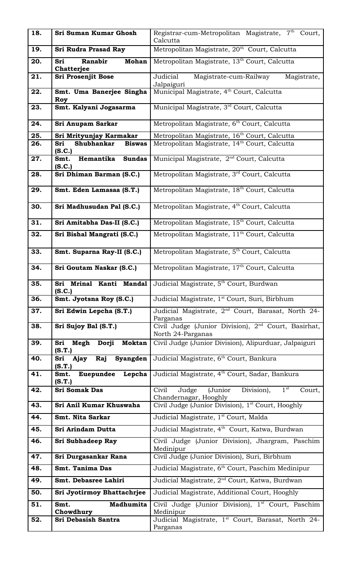| 18. | Sri Suman Kumar Ghosh                           | Registrar-cum-Metropolitan Magistrate, 7 <sup>th</sup> Court,<br>Calcutta               |
|-----|-------------------------------------------------|-----------------------------------------------------------------------------------------|
| 19. | <b>Sri Rudra Prasad Ray</b>                     | Metropolitan Magistrate, 20 <sup>th</sup> Court, Calcutta                               |
| 20. | Ranabir<br><b>Mohan</b><br>Sri<br>Chatterjee    | Metropolitan Magistrate, 13 <sup>th</sup> Court, Calcutta                               |
| 21. | <b>Sri Prosenjit Bose</b>                       | Judicial<br>Magistrate-cum-Railway<br>Magistrate,<br>Jalpaiguri                         |
| 22. | Smt. Uma Banerjee Singha<br>Roy                 | Municipal Magistrate, 4 <sup>th</sup> Court, Calcutta                                   |
| 23. | Smt. Kalyani Jogasarma                          | Municipal Magistrate, 3 <sup>rd</sup> Court, Calcutta                                   |
| 24. | <b>Sri Anupam Sarkar</b>                        | Metropolitan Magistrate, 6 <sup>th</sup> Court, Calcutta                                |
| 25. | Sri Mrityunjay Karmakar                         | Metropolitan Magistrate, 16 <sup>th</sup> Court, Calcutta                               |
| 26. | Shubhankar<br><b>Biswas</b><br>Sri<br>(S.C.)    | Metropolitan Magistrate, 14 <sup>th</sup> Court, Calcutta                               |
| 27. | <b>Sundas</b><br>Hemantika<br>Smt.<br>(S.C.)    | Municipal Magistrate, 2 <sup>nd</sup> Court, Calcutta                                   |
| 28. | Sri Dhiman Barman (S.C.)                        | Metropolitan Magistrate, 3rd Court, Calcutta                                            |
| 29. | Smt. Eden Lamasaa (S.T.)                        | Metropolitan Magistrate, 18 <sup>th</sup> Court, Calcutta                               |
| 30. | Sri Madhusudan Pal (S.C.)                       | Metropolitan Magistrate, 4 <sup>th</sup> Court, Calcutta                                |
| 31. | Sri Amitabha Das-II (S.C.)                      | Metropolitan Magistrate, 15 <sup>th</sup> Court, Calcutta                               |
| 32. | Sri Bishal Mangrati (S.C.)                      | Metropolitan Magistrate, 11 <sup>th</sup> Court, Calcutta                               |
| 33. | Smt. Suparna Ray-II (S.C.)                      | Metropolitan Magistrate, 5 <sup>th</sup> Court, Calcutta                                |
| 34. | Sri Goutam Naskar (S.C.)                        | Metropolitan Magistrate, 17 <sup>th</sup> Court, Calcutta                               |
| 35. | Mrinal Kanti Mandal<br>Sri<br>(S.C.)            | Judicial Magistrate, 5 <sup>th</sup> Court, Burdwan                                     |
| 36. | Smt. Jyotsna Roy (S.C.)                         | Judicial Magistrate, 1 <sup>st</sup> Court, Suri, Birbhum                               |
| 37. | Sri Edwin Lepcha (S.T.)                         | Judicial Magistrate, 2 <sup>nd</sup> Court, Barasat, North 24-<br>Parganas              |
| 38. | Sri Sujoy Bal (S.T.)                            | Civil Judge (Junior Division), 2 <sup>nd</sup> Court, Basirhat,<br>North 24-Parganas    |
| 39. | <b>Moktan</b><br>Sri<br>Megh<br>Dorji<br>(S.T.) | Civil Judge (Junior Division), Alipurduar, Jalpaiguri                                   |
| 40. | Ajay<br>Syangden<br>Sri<br>Raj<br>(S.T.)        | Judicial Magistrate, 6 <sup>th</sup> Court, Bankura                                     |
| 41. | Lepcha<br><b>Euepundee</b><br>Smt.<br>(S.T.)    | Judicial Magistrate, 4 <sup>th</sup> Court, Sadar, Bankura                              |
| 42. | <b>Sri Somak Das</b>                            | $1^{\rm st}$<br>Judge (Junior<br>Division),<br>Civil<br>Court,<br>Chandernagar, Hooghly |
| 43. | Sri Anil Kumar Khuswaha                         | Civil Judge (Junior Division), 1 <sup>st</sup> Court, Hooghly                           |
| 44. | Smt. Nita Sarkar                                | Judicial Magistrate, 1 <sup>st</sup> Court, Malda                                       |
| 45. | Sri Arindam Dutta                               | Judicial Magistrate, 4 <sup>th</sup> Court, Katwa, Burdwan                              |
| 46. | Sri Subhadeep Ray                               | Civil Judge (Junior Division), Jhargram, Paschim<br>Medinipur                           |
| 47. | Sri Durgasankar Rana                            | Civil Judge (Junior Division), Suri, Birbhum                                            |
| 48. | <b>Smt. Tanima Das</b>                          | Judicial Magistrate, 6 <sup>th</sup> Court, Paschim Medinipur                           |
| 49. | Smt. Debasree Lahiri                            | Judicial Magistrate, 2 <sup>nd</sup> Court, Katwa, Burdwan                              |
| 50. | Sri Jyotirmoy Bhattachrjee                      | Judicial Magistrate, Additional Court, Hooghly                                          |
| 51. | Madhumita<br>Smt.<br>Chowdhury                  | Civil Judge (Junior Division), 1 <sup>st</sup> Court, Paschim<br>Medinipur              |
| 52. | Sri Debasish Santra                             | Judicial Magistrate, 1st Court, Barasat, North 24-<br>Parganas                          |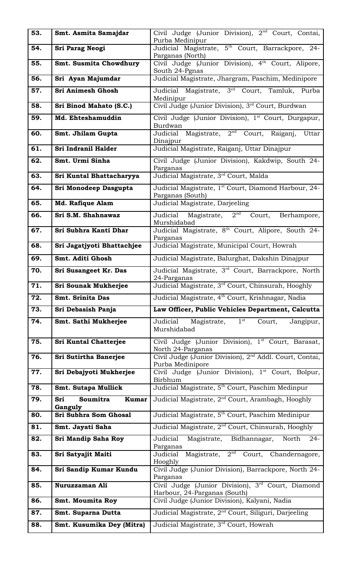| 53. | Smt. Asmita Samajdar             | Civil Judge (Junior Division), 2 <sup>nd</sup> Court, Contai,<br>Purba Medinipur         |
|-----|----------------------------------|------------------------------------------------------------------------------------------|
| 54. | Sri Parag Neogi                  | Judicial Magistrate, 5 <sup>th</sup> Court, Barrackpore, 24-                             |
|     |                                  | Parganas (North)                                                                         |
| 55. | <b>Smt. Susmita Chowdhury</b>    | Civil Judge (Junior Division), 4 <sup>th</sup> Court, Alipore,<br>South 24-Pgnas         |
| 56. | Sri Ayan Majumdar                | Judicial Magistrate, Jhargram, Paschim, Medinipore                                       |
| 57. | Sri Animesh Ghosh                | Judicial Magistrate, 3 <sup>rd</sup> Court, Tamluk, Purba<br>Medinipur                   |
| 58. | Sri Binod Mahato (S.C.)          | Civil Judge (Junior Division), 3rd Court, Burdwan                                        |
| 59. | Md. Ehteshamuddin                | Civil Judge (Junior Division), 1 <sup>st</sup> Court, Durgapur,<br>Burdwan               |
| 60. | Smt. Jhilam Gupta                | Judicial Magistrate, 2 <sup>nd</sup> Court, Raiganj,<br>Uttar<br>Dinajpur                |
| 61. | Sri Indranil Halder              | Judicial Magistrate, Raiganj, Uttar Dinajpur                                             |
| 62. | Smt. Urmi Sinha                  | Civil Judge (Junior Division), Kakdwip, South 24-<br>Parganas                            |
| 63. | Sri Kuntal Bhattacharyya         | Judicial Magistrate, 3rd Court, Malda                                                    |
| 64. | Sri Monodeep Dasgupta            | Judicial Magistrate, 1 <sup>st</sup> Court, Diamond Harbour, 24-                         |
| 65. | Md. Rafique Alam                 | Parganas (South)<br>Judicial Magistrate, Darjeeling                                      |
| 66. | Sri S.M. Shahnawaz               | Judicial Magistrate, 2 <sup>nd</sup><br>Court,<br>Berhampore,<br>Murshidabad             |
| 67. | Sri Subhra Kanti Dhar            | Judicial Magistrate, 8 <sup>th</sup> Court, Alipore, South 24-<br>Parganas               |
| 68. | Sri Jagatjyoti Bhattachjee       | Judicial Magistrate, Municipal Court, Howrah                                             |
| 69. | Smt. Aditi Ghosh                 | Judicial Magistrate, Balurghat, Dakshin Dinajpur                                         |
| 70. | Sri Susangeet Kr. Das            | Judicial Magistrate, 3 <sup>rd</sup> Court, Barrackpore, North<br>24-Parganas            |
|     |                                  |                                                                                          |
| 71. | <b>Sri Sounak Mukherjee</b>      | Judicial Magistrate, 3 <sup>rd</sup> Court, Chinsurah, Hooghly                           |
| 72. | <b>Smt. Srinita Das</b>          | Judicial Magistrate, 4 <sup>th</sup> Court, Krishnagar, Nadia                            |
| 73. | Sri Debasish Panja               | Law Officer, Public Vehicles Department, Calcutta                                        |
| 74. | Smt. Sathi Mukherjee             | $1^{\rm \, st}$<br>Magistrate,<br>Judicial<br>Court,<br>Jangipur,<br>Murshidabad         |
| 75. | <b>Sri Kuntal Chatterjee</b>     | Civil Judge (Junior Division), 1 <sup>st</sup> Court, Barasat,                           |
| 76. | Sri Sutirtha Banerjee            | North 24-Parganas<br>Civil Judge (Junior Division), 2 <sup>nd</sup> Addl. Court, Contai, |
| 77. | Sri Debajyoti Mukherjee          | Purba Medinipore<br>Civil Judge (Junior Division), <sup>1st</sup> Court, Bolpur,         |
| 78. | <b>Smt. Sutapa Mullick</b>       | Birbhum<br>Judicial Magistrate, 5 <sup>th</sup> Court, Paschim Medinpur                  |
| 79. | Soumitra<br><b>Kumar</b><br>Sri  | Judicial Magistrate, 2 <sup>nd</sup> Court, Arambagh, Hooghly                            |
| 80. | Ganguly<br>Sri Subhra Som Ghosal | Judicial Magistrate, 5 <sup>th</sup> Court, Paschim Medinipur                            |
| 81. | Smt. Jayati Saha                 | Judicial Magistrate, 2 <sup>nd</sup> Court, Chinsurah, Hooghly                           |
| 82. | Sri Mandip Saha Roy              | Judicial<br>Magistrate, Bidhannagar,<br>North<br>$24-$                                   |
| 83. | Sri Satyajit Maiti               | Parganas<br>Judicial Magistrate, 2 <sup>nd</sup> Court, Chandernagore,                   |
| 84. | Sri Sandip Kumar Kundu           | Hooghly<br>Civil Judge (Junior Division), Barrackpore, North 24-                         |
| 85. | Nuruzzaman Ali                   | Parganas<br>Civil Judge (Junior Division), 3rd Court, Diamond                            |
| 86. | <b>Smt. Moumita Roy</b>          | Harbour, 24-Parganas (South)<br>Civil Judge (Junior Division), Kalyani, Nadia            |
| 87. | Smt. Suparna Dutta               | Judicial Magistrate, 2 <sup>nd</sup> Court, Siliguri, Darjeeling                         |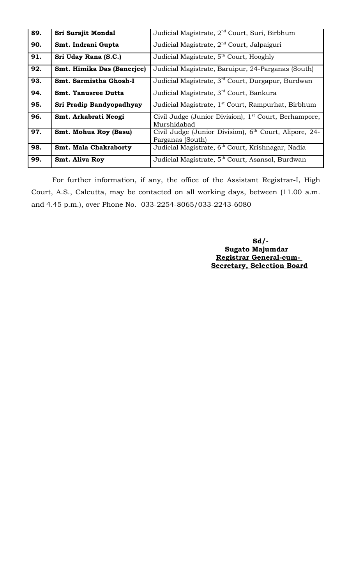| 89. | Sri Surajit Mondal           | Judicial Magistrate, 2 <sup>nd</sup> Court, Suri, Birbhum                              |
|-----|------------------------------|----------------------------------------------------------------------------------------|
| 90. | Smt. Indrani Gupta           | Judicial Magistrate, 2 <sup>nd</sup> Court, Jalpaiguri                                 |
| 91. | Sri Uday Rana (S.C.)         | Judicial Magistrate, 5 <sup>th</sup> Court, Hooghly                                    |
| 92. | Smt. Himika Das (Banerjee)   | Judicial Magistrate, Baruipur, 24-Parganas (South)                                     |
| 93. | Smt. Sarmistha Ghosh-I       | Judicial Magistrate, 3 <sup>rd</sup> Court, Durgapur, Burdwan                          |
| 94. | <b>Smt. Tanusree Dutta</b>   | Judicial Magistrate, 3 <sup>rd</sup> Court, Bankura                                    |
| 95. | Sri Pradip Bandyopadhyay     | Judicial Magistrate, 1 <sup>st</sup> Court, Rampurhat, Birbhum                         |
| 96. | Smt. Arkabrati Neogi         | Civil Judge (Junior Division), 1 <sup>st</sup> Court, Berhampore,<br>Murshidabad       |
| 97. | <b>Smt. Mohua Roy (Basu)</b> | Civil Judge (Junior Division), 6 <sup>th</sup> Court, Alipore, 24-<br>Parganas (South) |
| 98. | <b>Smt. Mala Chakraborty</b> | Judicial Magistrate, 6 <sup>th</sup> Court, Krishnagar, Nadia                          |
| 99. | <b>Smt. Aliva Roy</b>        | Judicial Magistrate, 5 <sup>th</sup> Court, Asansol, Burdwan                           |

For further information, if any, the office of the Assistant Registrar-I, High Court, A.S., Calcutta, may be contacted on all working days, between (11.00 a.m. and 4.45 p.m.), over Phone No. 033-2254-8065/033-2243-6080

> **Sd/- Sugato Majumdar Registrar General-cum-Secretary, Selection Board**